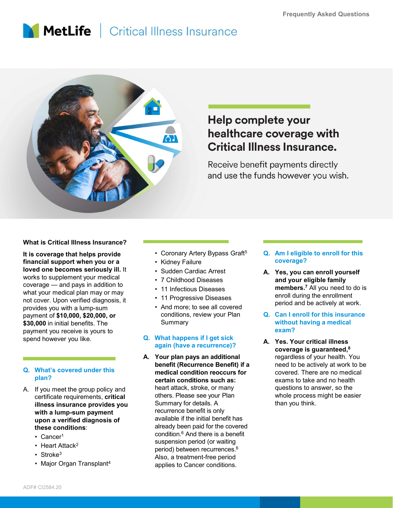## **MetLife** Critical Illness Insurance



# **Example 18 Alternative Confidence Coverage With**<br> **Critical Illness Insurance.**<br>
Receive benefit payments directly<br>
and use the funds however you wish.<br>
<br>
• Coronary Artery Bypass Graft<sup>5</sup><br>
• Coronary Artery Bypass Graft<sup></sup> **Example 18 Arrest Consumers Consumers Consumers Consumers Consumers Consumers Consumers Consumers Consumers Consumers Consumers Consumers Consumers Consumers Consumers Consumers Consumers Consumers Consumers Consumers Con France School Conserved School Conserved School Conserved School Conserved School Conserved School Conserved School Conserved School Conserved School Conserved School Conserved Conserved Conserved Conserved Conserved Cons Example 11 Infectious Diseases**<br>
11 Infectious Diseases<br>
11 Infectious Diseases<br>
11 Infectious Diseases<br>
11 Infectious Diseases<br>
11 Infectious Diseases<br>
11 Infectious Diseases<br>
11 Infectious Diseases<br>
11 Infectious Diseas **Coverage with<br>
ess Insurance.**<br>
it payments directly<br>
inds however you wish.<br> **Q. Am I eligible to enroll for this**<br> **Coverage?**<br> **A.** Yes, you can enroll yourself<br>
and your eligible family<br>
members.<sup>7</sup> All you need to do

#### What is Critical Illness Insurance?

What is Critical Illness Insurance?<br> **Example 12** it is coverage that helps provide<br> **Example 12** it is coverage that helps provide<br>
Illness insurance?<br>
Illness in a lower of the properties are coverage to an along the me What is Critical Illness Insurance?<br>
It is coverage that helps provide<br>
If inancial support when you or a<br>
It is coverage that helps provide<br>
works to supplement your medical<br>
works to supplement your medical<br>
may or may a financial support when you or a vertical vertical support when you or a vertical vertical vertical vertical vertical vertical vertical vertical vertical vertical vertical vertical vertical vertical vertical vertical vertic loved one becomes seriously ill. It a set of sudden Cardiac Arrest works to supplement your medical • 7 Childhood Diseases what your medical plan may or may<br>
not cover Theory erified diagnosis it<br>  $\cdot$  11 Progressive Diseases not cover. Upon verified diagnosis, it when the original original values of the provides vou with a lump-sum values of  $\cdot$  And more; to see all covered provides you with a lump-sum payment of \$10,000, \$20,000, or \$30,000 in initial benefits. The payment you receive is yours to<br>spend however you like. **Q. What happens if I get sick** spend however you like.

#### plan?

- certificate requirements, critical illness insurance provides you with a lump-sum payment upon a verified diagnosis of these conditions:
	-
	-
	-
	-
- It is coverage that helps provide Coronary Artery Bypass Graft<sup>5</sup>
	-
	-
	-
	-
	-
	- Summary

#### **A.** Yes. Your critical illness<br>again (have a recurrence)?

- of the becomes seriously iii. The state of the state of the state of the state of the state of the state of the state of the state of the state of the state of the state of the state of the state of the state of the state Figure 10.1 The methanomy of the methanomy of the same of the same of the same of the same of  $\mathbf{5000}$ ,  $\mathbf{400}$  and pays in addition to the methanomy or may of the methanomy of the same of \$10,000, \$20,000, or condit • Strokes<br>
tyour medical plan may or may<br>
tyour medical plan may or may<br>
ideo, with a lump-sum<br>
one of \$10,000, \$20,000, or<br>
nent of \$10,000, \$20,000, or<br>
initial benefits. The<br>
ment you receive is yours to<br>
ment you recei Convertilied diagnosis, it<br>
it a lump-sum of \$10,000, \$20,000, or<br>
in this alump-sum of \$10,000, \$20,000, or<br>
ment of \$10,000, \$20,000, or<br>
ment of \$10,000, \$20,000, or<br>
in thital benefits. The<br>
Summary<br>
out neceive is yo benefit (Recurrence Benefit) if a medical condition reoccurs for certain conditions such as: heart attack, stroke, or many others. Please see your Plan Summary for details. A recurrence benefit is only available if the initial benefit has already been paid for the covered condition.6 And there is a benefit suspension period (or waiting period) between recurrences.6 Also, a treatment-free period applies to Cancer conditions.
- coverage?
- **Example 12 Propriet COVET ASSES ASSESS**<br>
 Coronary Artery Bypass Graft<sup>5</sup><br>
 Coronary Artery Bypass Graft<sup>5</sup><br>
 Coronary Artery Bypass Graft<sup>5</sup><br>
 Coronary Artery Bypass Graft<sup>5</sup><br>
 Coronary Artery Bypass Graft<sup>5</sup><br>
 Cor **Critical Illness Insurance.**<br>
Receive benefit payments directly<br>
and use the funds however you wish.<br>
• Coronary Artery Bypass Graft<sup>6</sup><br>
• Coronary Artery Bypass Graft<sup>6</sup><br>
• Coronary Artery Bypass Graft<sup>6</sup><br>
• Coronary Art **Example 18 Solution School School School School School School School School School School School School School School School School School School School School and School School and School School School School School Scho** and your eligible family members.<sup>7</sup> All you need to do is enroll during the enrollment period and be actively at work. **ESS INSUTANCE.**<br>
it payments directly<br>
nds however you wish.<br> **Q. Am I eligible to enroll for this coverage?**<br> **A. Yes, you can enroll yourself**<br>
and your eligible family<br>
members.<sup>7</sup> All you need to do is<br>
enroll during
	- conditions, review your Plan **Q. Can I enroll for this insurance** without having a medical exam?
- and use the funds however you wish.<br>
Coronary Artery Bypass Graft<sup>5</sup><br>
C. Am Leligible to enroll for this<br>
coverage?<br>
Sudden Cardiac Arrest<br>
7 Childhood Diseases<br>
11 Infectious Diseases<br>
11 Oronary Artery Bypass Graft<sup>5</sup><br>
2 Coronary Artery Bypass Graft<sup>5</sup><br>
C. Am leligible to enroll for this<br>
C. What Calden Cardiac Arrest<br>
C. Your plan pays an add your eligible family<br>
C. Your plan pays are all coverage?<br>
A. Your plan pays an additional the en **Q. Am I eligible to enroll for this**<br>
coverage?<br> **A. Yes, you can enroll yourself**<br>
and your eligible family<br>
members.<sup>7</sup> All you need to do is<br>
enroll during the enrollment<br>
period and be actively at work.<br> **Q. Can I enr** coverage is guaranteed,8 regardless of your health. You need to be actively at work to be covered. There are no medical exams to take and no health questions to answer, so the whole process might be easier than you think.